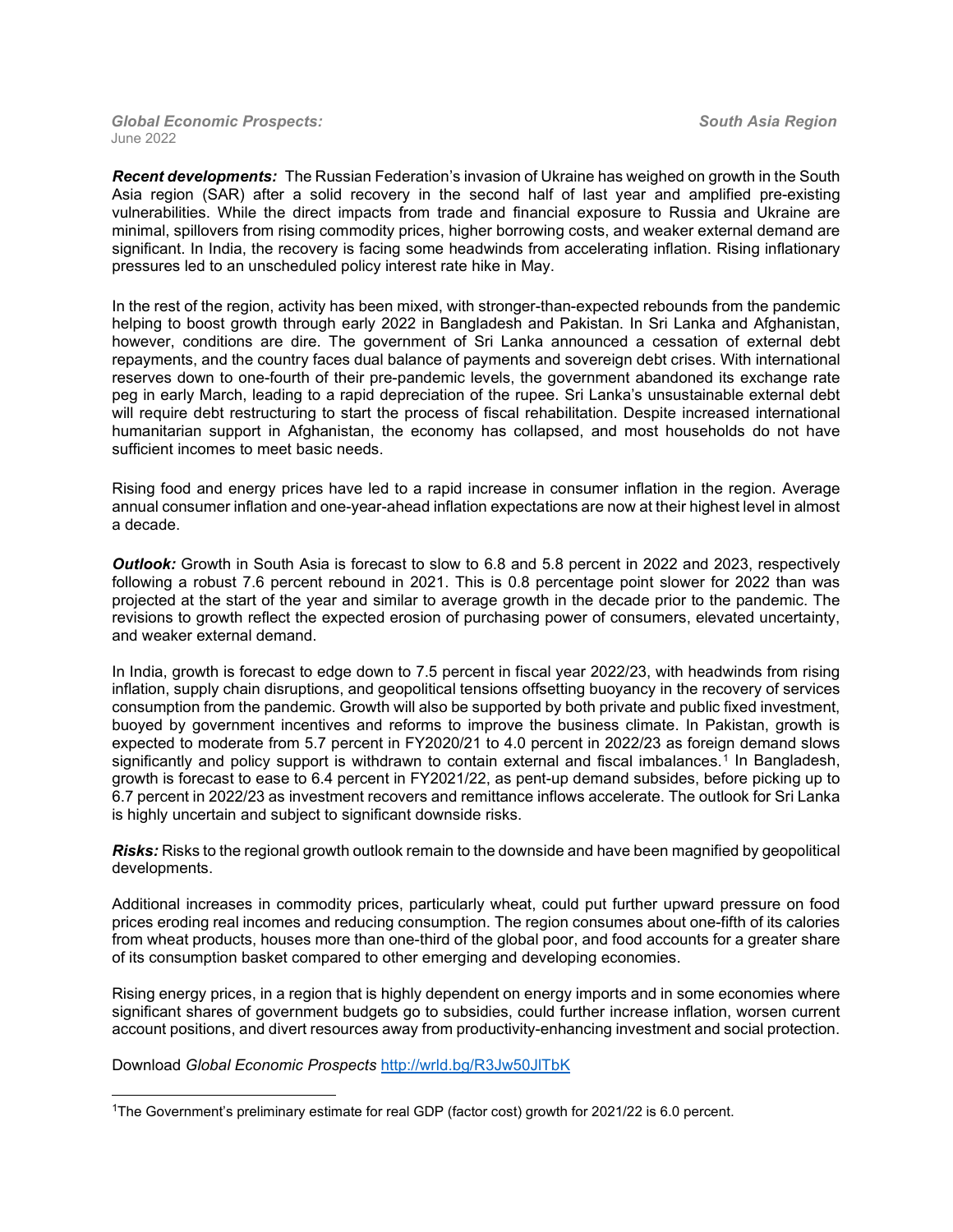## *Global Economic Prospects: South Asia Region* June 2022

*Recent developments:* The Russian Federation's invasion of Ukraine has weighed on growth in the South Asia region (SAR) after a solid recovery in the second half of last year and amplified pre-existing vulnerabilities. While the direct impacts from trade and financial exposure to Russia and Ukraine are minimal, spillovers from rising commodity prices, higher borrowing costs, and weaker external demand are significant. In India, the recovery is facing some headwinds from accelerating inflation. Rising inflationary pressures led to an unscheduled policy interest rate hike in May.

In the rest of the region, activity has been mixed, with stronger-than-expected rebounds from the pandemic helping to boost growth through early 2022 in Bangladesh and Pakistan. In Sri Lanka and Afghanistan, however, conditions are dire. The government of Sri Lanka announced a cessation of external debt repayments, and the country faces dual balance of payments and sovereign debt crises. With international reserves down to one-fourth of their pre-pandemic levels, the government abandoned its exchange rate peg in early March, leading to a rapid depreciation of the rupee. Sri Lanka's unsustainable external debt will require debt restructuring to start the process of fiscal rehabilitation. Despite increased international humanitarian support in Afghanistan, the economy has collapsed, and most households do not have sufficient incomes to meet basic needs.

Rising food and energy prices have led to a rapid increase in consumer inflation in the region. Average annual consumer inflation and one-year-ahead inflation expectations are now at their highest level in almost a decade.

*Outlook:* Growth in South Asia is forecast to slow to 6.8 and 5.8 percent in 2022 and 2023, respectively following a robust 7.6 percent rebound in 2021. This is 0.8 percentage point slower for 2022 than was projected at the start of the year and similar to average growth in the decade prior to the pandemic. The revisions to growth reflect the expected erosion of purchasing power of consumers, elevated uncertainty, and weaker external demand.

In India, growth is forecast to edge down to 7.5 percent in fiscal year 2022/23, with headwinds from rising inflation, supply chain disruptions, and geopolitical tensions offsetting buoyancy in the recovery of services consumption from the pandemic. Growth will also be supported by both private and public fixed investment, buoyed by government incentives and reforms to improve the business climate. In Pakistan, growth is expected to moderate from 5.7 percent in FY2020/21 to 4.0 percent in 2022/23 as foreign demand slows significantly and policy support is withdrawn to contain external and fiscal imbalances.<sup>[1](#page-0-0)</sup> In Bangladesh, growth is forecast to ease to 6.4 percent in FY2021/22, as pent-up demand subsides, before picking up to 6.7 percent in 2022/23 as investment recovers and remittance inflows accelerate. The outlook for Sri Lanka is highly uncertain and subject to significant downside risks.

*Risks:* Risks to the regional growth outlook remain to the downside and have been magnified by geopolitical developments.

Additional increases in commodity prices, particularly wheat, could put further upward pressure on food prices eroding real incomes and reducing consumption. The region consumes about one-fifth of its calories from wheat products, houses more than one-third of the global poor, and food accounts for a greater share of its consumption basket compared to other emerging and developing economies.

Rising energy prices, in a region that is highly dependent on energy imports and in some economies where significant shares of government budgets go to subsidies, could further increase inflation, worsen current account positions, and divert resources away from productivity-enhancing investment and social protection.

Download *Global Economic Prospects* <http://wrld.bg/R3Jw50JlTbK>

<span id="page-0-0"></span><sup>1</sup>The Government's preliminary estimate for real GDP (factor cost) growth for 2021/22 is 6.0 percent.